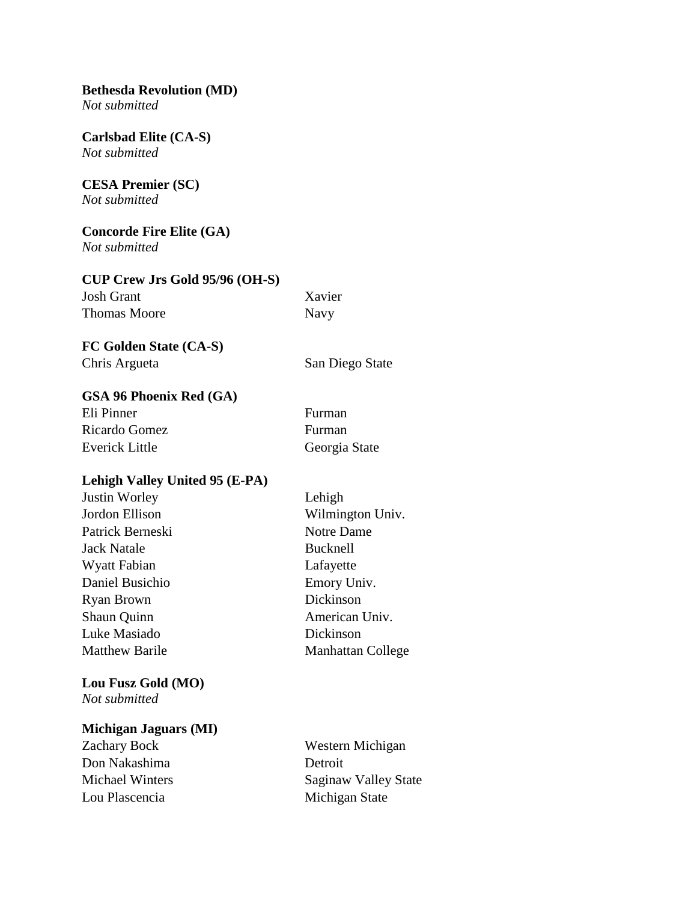**Bethesda Revolution (MD)** *Not submitted*

**Carlsbad Elite (CA-S)** *Not submitted*

**CESA Premier (SC)** *Not submitted*

**Concorde Fire Elite (GA)** *Not submitted*

**CUP Crew Jrs Gold 95/96 (OH-S)** Josh Grant Xavier Thomas Moore Navy

**FC Golden State (CA-S)** Chris Argueta San Diego State

**GSA 96 Phoenix Red (GA)**

| Eli Pinner            | Furman        |
|-----------------------|---------------|
| Ricardo Gomez         | Furman        |
| <b>Everick Little</b> | Georgia State |

### **Lehigh Valley United 95 (E-PA)**

| <b>Justin Worley</b>  | Lehigh                   |
|-----------------------|--------------------------|
| Jordon Ellison        | Wilmington Univ.         |
| Patrick Berneski      | Notre Dame               |
| <b>Jack Natale</b>    | <b>Bucknell</b>          |
| Wyatt Fabian          | Lafayette                |
| Daniel Busichio       | Emory Univ.              |
| <b>Ryan Brown</b>     | Dickinson                |
| Shaun Quinn           | American Univ.           |
| Luke Masiado          | Dickinson                |
| <b>Matthew Barile</b> | <b>Manhattan College</b> |
|                       |                          |

#### **Lou Fusz Gold (MO)** *Not submitted*

# **Michigan Jaguars (MI)**

Don Nakashima Detroit Lou Plascencia Michigan State

Zachary Bock Western Michigan Michael Winters Saginaw Valley State